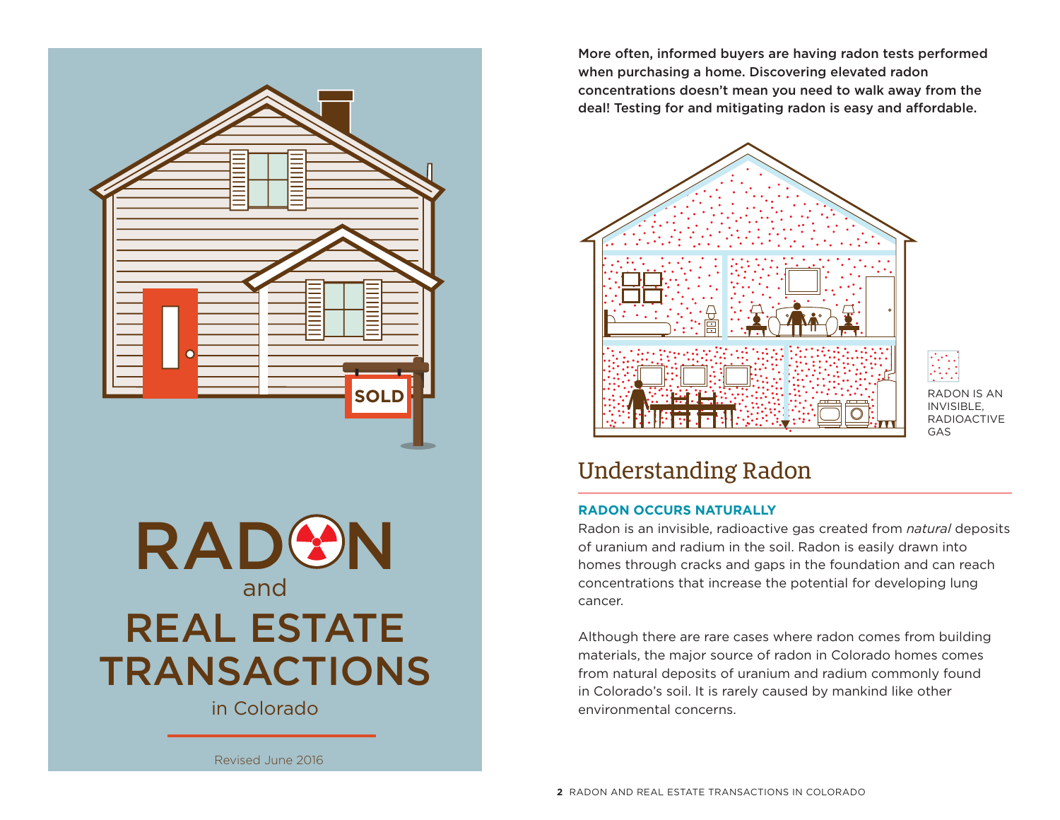**SOLD**



in Colorado

More often, informed buyers are having radon tests performed when purchasing a home. Discovering elevated radon concentrations doesn't mean you need to walk away from the deal! Testing for and mitigating radon is easy and affordable.



RADON IS AN INVISIBLE, **RADIOACTIVE** GAS

### Understanding Radon

#### **RADON OCCURS NATURALLY**

Radon is an invisible, radioactive gas created from *natural* deposits of uranium and radium in the soil. Radon is easily drawn into homes through cracks and gaps in the foundation and can reach concentrations that increase the potential for developing lung cancer.

Although there are rare cases where radon comes from building materials, the major source of radon in Colorado homes comes from natural deposits of uranium and radium commonly found in Colorado's soil. It is rarely caused by mankind like other environmental concerns.

Revised June 2016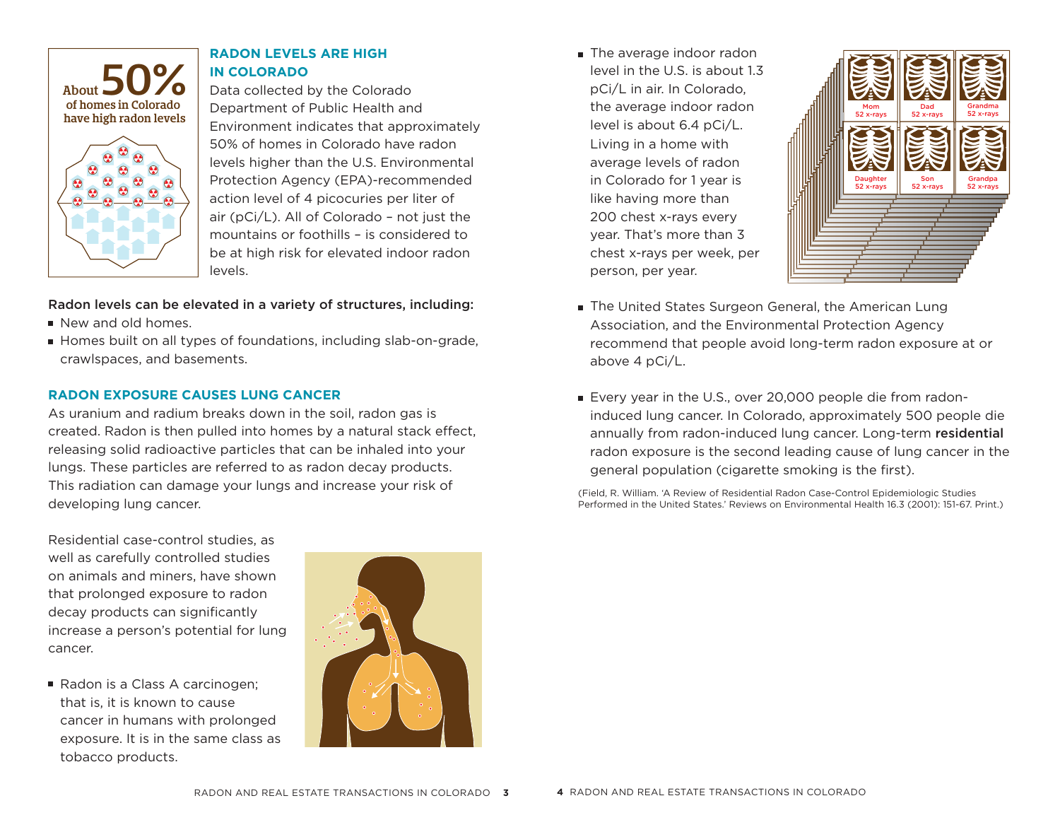

#### **RADON LEVELS ARE HIGH IN COLORADO**

Data collected by the Colorado Department of Public Health and Environment indicates that approximately 50% of homes in Colorado have radon levels higher than the U.S. Environmental Protection Agency (EPA)-recommended action level of 4 picocuries per liter of air (pCi/L). All of Colorado – not just the mountains or foothills – is considered to be at high risk for elevated indoor radon levels.

#### Radon levels can be elevated in a variety of structures, including:

- New and old homes.
- Homes built on all types of foundations, including slab-on-grade, crawlspaces, and basements.

#### **RADON EXPOSURE CAUSES LUNG CANCER**

As uranium and radium breaks down in the soil, radon gas is created. Radon is then pulled into homes by a natural stack effect, releasing solid radioactive particles that can be inhaled into your lungs. These particles are referred to as radon decay products. This radiation can damage your lungs and increase your risk of developing lung cancer.

The average indoor radon level in the U.S. is about 1.3 pCi/L in air. In Colorado, the average indoor radon level is about 6.4 pCi/L. Living in a home with average levels of radon in Colorado for 1 year is like having more than 200 chest x-rays every year. That's more than 3 chest x-rays per week, per person, per year.



- **The United States Surgeon General, the American Lung** Association, and the Environmental Protection Agency recommend that people avoid long-term radon exposure at or above 4 pCi/L.
- Every year in the U.S., over 20,000 people die from radoninduced lung cancer. In Colorado, approximately 500 people die annually from radon-induced lung cancer. Long-term residential radon exposure is the second leading cause of lung cancer in the general population (cigarette smoking is the first).

(Field, R. William. 'A Review of Residential Radon Case-Control Epidemiologic Studies Performed in the United States.' Reviews on Environmental Health 16.3 (2001): 151-67. Print.)

Residential case-control studies, as well as carefully controlled studies on animals and miners, have shown that prolonged exposure to radon decay products can significantly increase a person's potential for lung cancer.

Radon is a Class A carcinogen: that is, it is known to cause cancer in humans with prolonged exposure. It is in the same class as tobacco products.

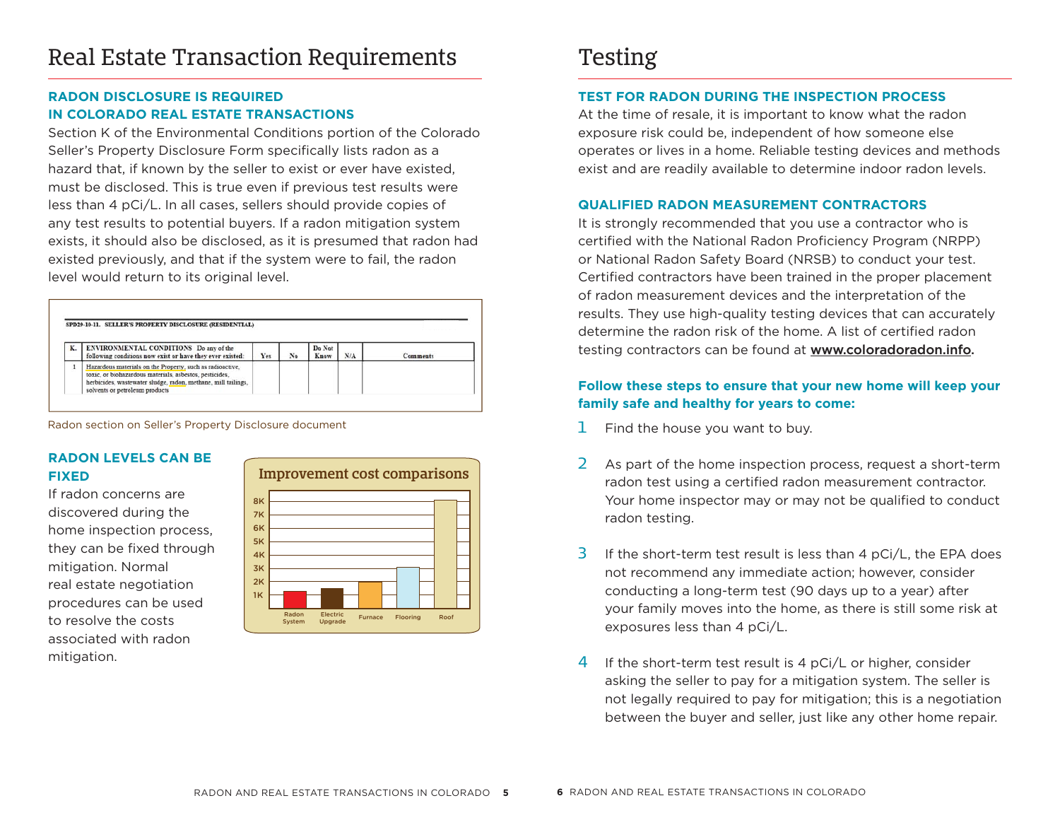### Real Estate Transaction Requirements

#### **RADON DISCLOSURE IS REQUIRED IN COLORADO REAL ESTATE TRANSACTIONS**

Section K of the Environmental Conditions portion of the Colorado Seller's Property Disclosure Form specifically lists radon as a hazard that, if known by the seller to exist or ever have existed, must be disclosed. This is true even if previous test results were less than 4 pCi/L. In all cases, sellers should provide copies of any test results to potential buyers. If a radon mitigation system exists, it should also be disclosed, as it is presumed that radon had existed previously, and that if the system were to fail, the radon level would return to its original level.

| ENVIRONMENTAL CONDITIONS Do any of the<br>following conditions now exist or have they ever existed:                                                                                                                     | Yes | No | Do Not<br>Know | N/A | Comments |
|-------------------------------------------------------------------------------------------------------------------------------------------------------------------------------------------------------------------------|-----|----|----------------|-----|----------|
| Hazardous materials on the Property, such as radioactive.<br>toxic, or biohazardous materials, asbestos, pesticides,<br>herbicides, wastewater sludge, radon, methane, mill tailings,<br>solvents or petroleum products |     |    |                |     |          |

Radon section on Seller's Property Disclosure document

#### **RADON LEVELS CAN BE FIXED**

If radon concerns are discovered during the home inspection process, they can be fixed through mitigation. Normal real estate negotiation procedures can be used to resolve the costs associated with radon mitigation.



### Testing

#### **TEST FOR RADON DURING THE INSPECTION PROCESS**

At the time of resale, it is important to know what the radon exposure risk could be, independent of how someone else operates or lives in a home. Reliable testing devices and methods exist and are readily available to determine indoor radon levels.

#### **QUALIFIED RADON MEASUREMENT CONTRACTORS**

It is strongly recommended that you use a contractor who is certified with the National Radon Proficiency Program (NRPP) or National Radon Safety Board (NRSB) to conduct your test. Certified contractors have been trained in the proper placement of radon measurement devices and the interpretation of the results. They use high-quality testing devices that can accurately determine the radon risk of the home. A list of certified radon testing contractors can be found at **www.coloradoradon.info.** 

#### **Follow these steps to ensure that your new home will keep your family safe and healthy for years to come:**

- $1$  Find the house you want to buy.
- 2 As part of the home inspection process, request a short-term radon test using a certified radon measurement contractor. Your home inspector may or may not be qualified to conduct radon testing.
- 3 If the short-term test result is less than 4 pCi/L, the EPA does not recommend any immediate action; however, consider conducting a long-term test (90 days up to a year) after your family moves into the home, as there is still some risk at exposures less than 4 pCi/L.
- 4 If the short-term test result is 4  $pCi/L$  or higher, consider asking the seller to pay for a mitigation system. The seller is not legally required to pay for mitigation; this is a negotiation between the buyer and seller, just like any other home repair.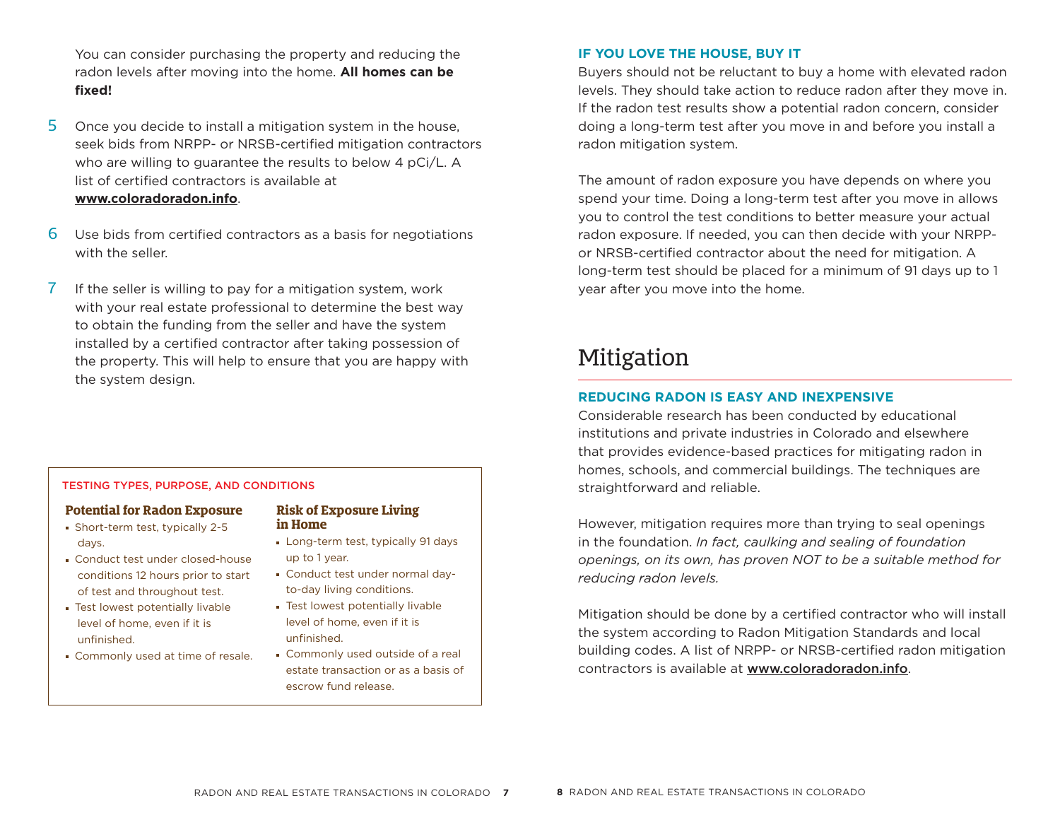You can consider purchasing the property and reducing the radon levels after moving into the home. **All homes can be fi xed!**

- 5 Once you decide to install a mitigation system in the house, seek bids from NRPP- or NRSB-certified mitigation contractors who are willing to guarantee the results to below 4 pCi/L. A list of certified contractors is available at **www.coloradoradon.info**.
- $6$  Use bids from certified contractors as a basis for negotiations with the seller.
- 7 If the seller is willing to pay for a mitigation system, work with your real estate professional to determine the best way to obtain the funding from the seller and have the system installed by a certified contractor after taking possession of the property. This will help to ensure that you are happy with the system design.

#### TESTING TYPES, PURPOSE, AND CONDITIONS

#### **Potential for Radon Exposure**

- Short-term test, typically 2-5 days.
- Conduct test under closed-house conditions 12 hours prior to start of test and throughout test.
- Test lowest potentially livable level of home, even if it is unfinished.
- Commonly used at time of resale.

### **Risk of Exposure Living in Home**

- **Long-term test, typically 91 days** up to 1 year.
- Conduct test under normal dayto-day living conditions.
- **Test lowest potentially livable** level of home, even if it is unfinished
- Commonly used outside of a real estate transaction or as a basis of escrow fund release.

#### **IF YOU LOVE THE HOUSE, BUY IT**

Buyers should not be reluctant to buy a home with elevated radon levels. They should take action to reduce radon after they move in. If the radon test results show a potential radon concern, consider doing a long-term test after you move in and before you install a radon mitigation system.

The amount of radon exposure you have depends on where you spend your time. Doing a long-term test after you move in allows you to control the test conditions to better measure your actual radon exposure. If needed, you can then decide with your NRPPor NRSB-certified contractor about the need for mitigation. A long-term test should be placed for a minimum of 91 days up to 1 year after you move into the home.

### Mitigation

#### **REDUCING RADON IS EASY AND INEXPENSIVE**

Considerable research has been conducted by educational institutions and private industries in Colorado and elsewhere that provides evidence-based practices for mitigating radon in homes, schools, and commercial buildings. The techniques are straightforward and reliable.

However, mitigation requires more than trying to seal openings in the foundation. *In fact, caulking and sealing of foundation openings, on its own, has proven NOT to be a suitable method for reducing radon levels.*

Mitigation should be done by a certified contractor who will install the system according to Radon Mitigation Standards and local building codes. A list of NRPP- or NRSB-certified radon mitigation contractors is available at www.coloradoradon.info.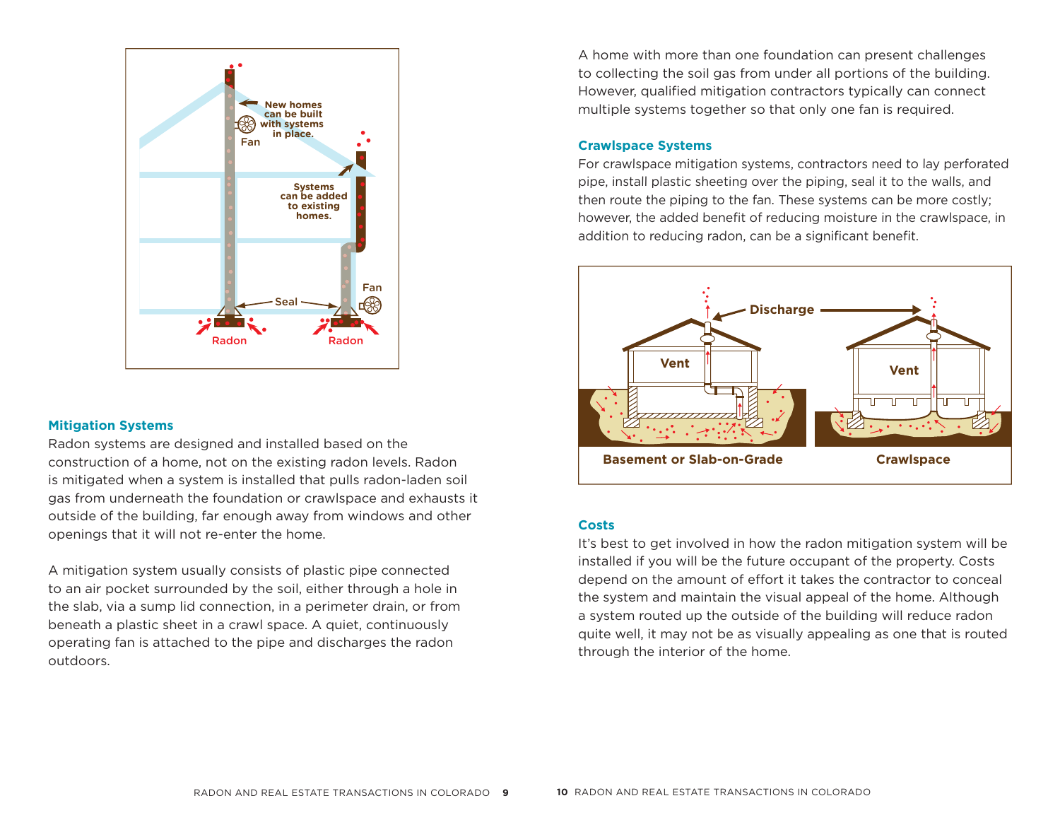

#### **Mitigation Systems**

Radon systems are designed and installed based on the construction of a home, not on the existing radon levels. Radon is mitigated when a system is installed that pulls radon-laden soil gas from underneath the foundation or crawlspace and exhausts it outside of the building, far enough away from windows and other openings that it will not re-enter the home.

A mitigation system usually consists of plastic pipe connected to an air pocket surrounded by the soil, either through a hole in the slab, via a sump lid connection, in a perimeter drain, or from beneath a plastic sheet in a crawl space. A quiet, continuously operating fan is attached to the pipe and discharges the radon outdoors.

A home with more than one foundation can present challenges to collecting the soil gas from under all portions of the building. However, qualified mitigation contractors typically can connect multiple systems together so that only one fan is required.

#### **Crawlspace Systems**

For crawlspace mitigation systems, contractors need to lay perforated pipe, install plastic sheeting over the piping, seal it to the walls, and then route the piping to the fan. These systems can be more costly; however, the added benefit of reducing moisture in the crawlspace, in addition to reducing radon, can be a significant benefit.



#### **Costs**

It's best to get involved in how the radon mitigation system will be installed if you will be the future occupant of the property. Costs depend on the amount of effort it takes the contractor to conceal the system and maintain the visual appeal of the home. Although a system routed up the outside of the building will reduce radon quite well, it may not be as visually appealing as one that is routed through the interior of the home.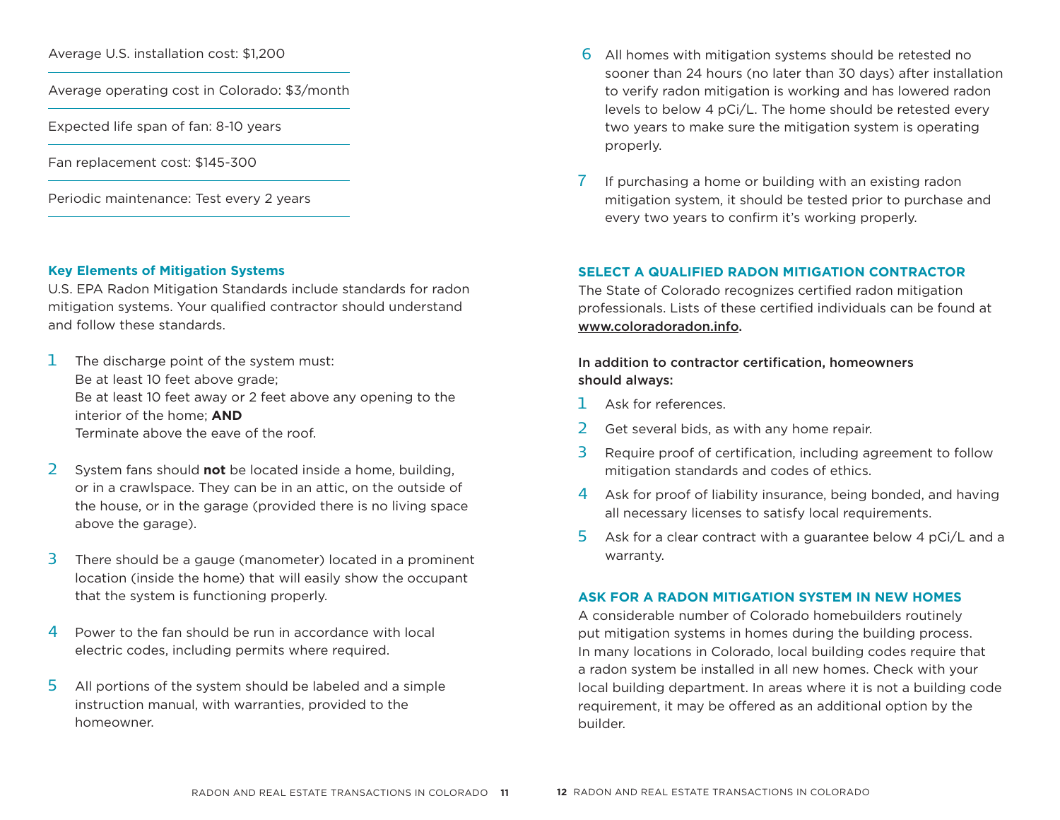Average U.S. installation cost: \$1,200

Average operating cost in Colorado: \$3/month

Expected life span of fan: 8-10 years

Fan replacement cost: \$145-300

Periodic maintenance: Test every 2 years

#### **Key Elements of Mitigation Systems**

U.S. EPA Radon Mitigation Standards include standards for radon mitigation systems. Your qualified contractor should understand and follow these standards.

- $1$  The discharge point of the system must: Be at least 10 feet above grade: Be at least 10 feet away or 2 feet above any opening to the interior of the home; **AND** Terminate above the eave of the roof.
- 2 System fans should **not** be located inside a home, building, or in a crawlspace. They can be in an attic, on the outside of the house, or in the garage (provided there is no living space above the garage).
- 3 There should be a gauge (manometer) located in a prominent location (inside the home) that will easily show the occupant that the system is functioning properly.
- 4 Power to the fan should be run in accordance with local electric codes, including permits where required.
- 5 All portions of the system should be labeled and a simple instruction manual, with warranties, provided to the homeowner.
- $6$  All homes with mitigation systems should be retested no sooner than 24 hours (no later than 30 days) after installation to verify radon mitigation is working and has lowered radon levels to below 4 pCi/L. The home should be retested every two years to make sure the mitigation system is operating properly.
- If purchasing a home or building with an existing radon mitigation system, it should be tested prior to purchase and every two years to confirm it's working properly.

#### **SELECT A QUALIFIED RADON MITIGATION CONTRACTOR**

The State of Colorado recognizes certified radon mitigation professionals. Lists of these certified individuals can be found at www.coloradoradon.info.

#### In addition to contractor certification, homeowners should always:

- 1 Ask for references.
- 2 Get several bids, as with any home repair.
- 3 Require proof of certification, including agreement to follow mitigation standards and codes of ethics.
- 4 Ask for proof of liability insurance, being bonded, and having all necessary licenses to satisfy local requirements.
- 5 Ask for a clear contract with a guarantee below 4 pCi/L and a warranty.

#### **ASK FOR A RADON MITIGATION SYSTEM IN NEW HOMES**

A considerable number of Colorado homebuilders routinely put mitigation systems in homes during the building process. In many locations in Colorado, local building codes require that a radon system be installed in all new homes. Check with your local building department. In areas where it is not a building code requirement, it may be offered as an additional option by the builder.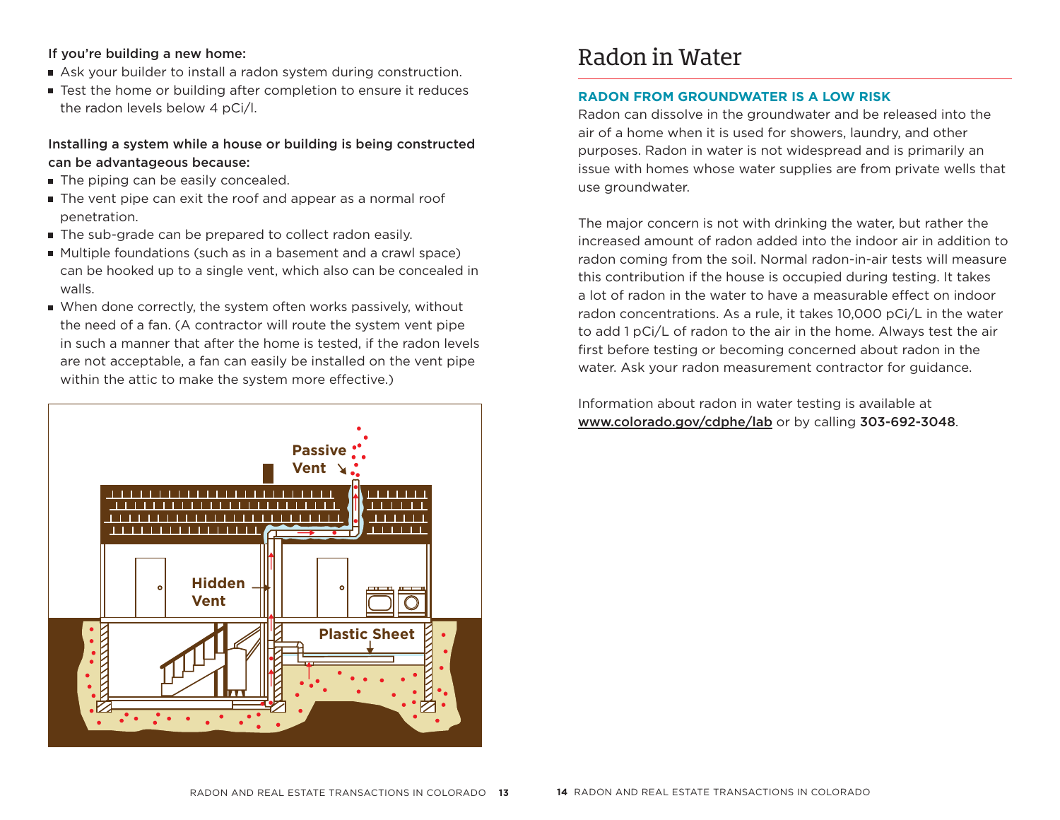#### If you're building a new home:

- Ask your builder to install a radon system during construction.
- Test the home or building after completion to ensure it reduces the radon levels below 4 pCi/l.

#### Installing a system while a house or building is being constructed can be advantageous because:

- The piping can be easily concealed.
- The vent pipe can exit the roof and appear as a normal roof penetration.
- The sub-grade can be prepared to collect radon easily.
- Multiple foundations (such as in a basement and a crawl space) can be hooked up to a single vent, which also can be concealed in walls.
- When done correctly, the system often works passively, without the need of a fan. (A contractor will route the system vent pipe in such a manner that after the home is tested, if the radon levels are not acceptable, a fan can easily be installed on the vent pipe within the attic to make the system more effective.)



### Radon in Water

#### **RADON FROM GROUNDWATER IS A LOW RISK**

Radon can dissolve in the groundwater and be released into the air of a home when it is used for showers, laundry, and other purposes. Radon in water is not widespread and is primarily an issue with homes whose water supplies are from private wells that use groundwater.

The major concern is not with drinking the water, but rather the increased amount of radon added into the indoor air in addition to radon coming from the soil. Normal radon-in-air tests will measure this contribution if the house is occupied during testing. It takes a lot of radon in the water to have a measurable effect on indoor radon concentrations. As a rule, it takes 10,000 pCi/L in the water to add 1 pCi/L of radon to the air in the home. Always test the air first before testing or becoming concerned about radon in the water. Ask your radon measurement contractor for guidance.

Information about radon in water testing is available at www.colorado.gov/cdphe/lab or by calling 303-692-3048.